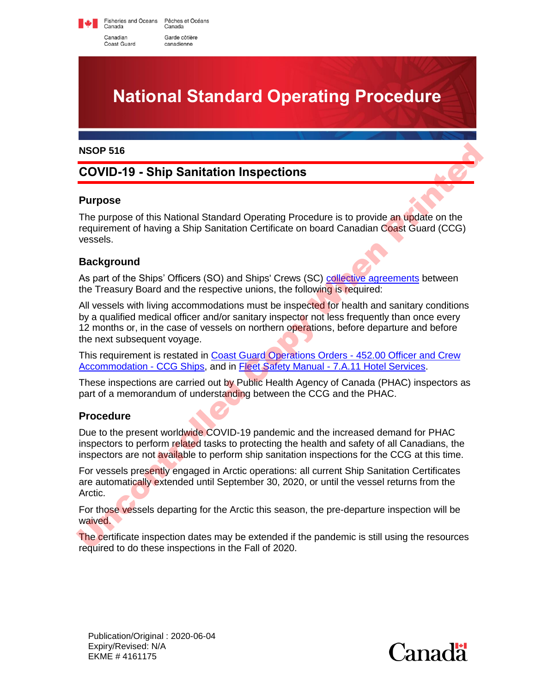Fisheries and Oceans Pêches et Océans<br>Canada Canada Canadian Garde côtière Coast Guard canadienne

# **National Standard Operating Procedure**

#### **NSOP 516**

# **COVID-19 - Ship Sanitation Inspections**

#### **Purpose**

The purpose of this National Standard Operating Procedure is to provide an update on the requirement of having a Ship Sanitation Certificate on board Canadian Coast Guard (CCG) vessels.

## **Background**

As part of the Ships' Officers (SO) and Ships' Crews (SC) collective agreements between the Treasury Board and the respective unions, the following is required:

All vessels with living accommodations must be inspected for health and sanitary conditions by a qualified medical officer and/or sanitary inspector not less frequently than once every 12 months or, in the case of vessels on northern operations, before departure and before the next subsequent voyage. **NSOP 516**<br> [C](https://intra.ccg-gcc.gc.ca/publications/en/5737/index.html)OVID-19 - Ship Sanitation Inspections<br>
The purpose<br>
The purpose<br>
The purpose of this National Standard Operating Procedure is to provide an update on the<br>
requirement of having a Ship Sanitation Certificate o

This requirement is restated in Coast Guard Operations Orders - 452.00 Officer and Crew Accommodation - CCG Ships, and in Fleet Safety Manual - 7.A.11 Hotel Services.

These inspections are carried out by Public Health Agency of Canada (PHAC) inspectors as part of a memorandum of understanding between the CCG and the PHAC.

## **Procedure**

Due to the present worldwide COVID-19 pandemic and the increased demand for PHAC inspectors to perform related tasks to protecting the health and safety of all Canadians, the inspectors are not available to perform ship sanitation inspections for the CCG at this time.

For vessels presently engaged in Arctic operations: all current Ship Sanitation Certificates are automatically extended until September 30, 2020, or until the vessel returns from the Arctic.

For those vessels departing for the Arctic this season, the pre-departure inspection will be waived.

The certificate inspection dates may be extended if the pandemic is still using the resources required to do these inspections in the Fall of 2020.